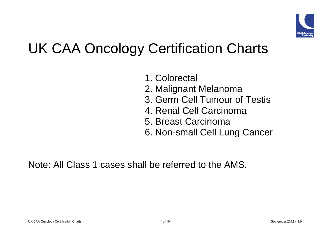

# UK CAA Oncology Certification Charts

- 1. Colorectal
- 2. Malignant Melanoma
- 3. Germ Cell Tumour of Testis
- 4. Renal Cell Carcinoma
- 5. Breast Carcinoma
- 6. Non-small Cell Lung Cancer

Note: All Class 1 cases shall be referred to the AMS.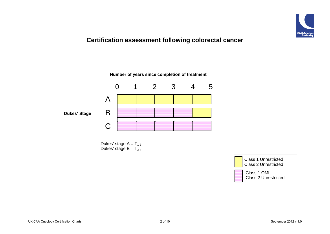

### **Certification assessment following colorectal cancer**

**Number of years since completion of treatment**



Dukes' stage  $A = T_{1-2}$ Dukes' stage  $B = T_{3-4}$ 

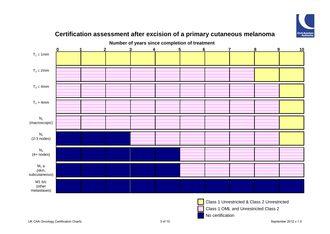

## $T_1 \leq 1$ mm  $T_2 \leq 2$ mm  $T_3 \leq 4$ mm  $T_4 > 4$ mm  $N<sub>1</sub>$ (macroscopic)  $N<sub>2</sub>$ (2-3 nodes)  $N_3$  $(4+$  nodes)  $M_1$  a (skin, subcutaneous) M1 b/c (other metastases) **Number of years since completion of treatment 0 1 2 3 4 5 6 7 8 9 10**

### **Certification assessment after excision of a primary cutaneous melanoma**



Class 1 Unrestricted & Class 2 Unrestricted

Class 1 OML and Unrestricted Class 2

No certification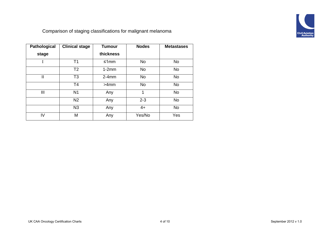

Comparison of staging classifications for malignant melanoma

| <b>Pathological</b> | <b>Clinical stage</b> | <b>Tumour</b> | <b>Nodes</b> | <b>Metastases</b> |
|---------------------|-----------------------|---------------|--------------|-------------------|
| stage               |                       | thickness     |              |                   |
|                     | T <sub>1</sub>        | $≤1mm$        | <b>No</b>    | <b>No</b>         |
|                     | T <sub>2</sub>        | $1-2mm$       | <b>No</b>    | <b>No</b>         |
| $\mathbf{I}$        | T <sub>3</sub>        | $2-4mm$       | <b>No</b>    | <b>No</b>         |
|                     | T <sub>4</sub>        | >4mm          | <b>No</b>    | <b>No</b>         |
| Ш                   | N <sub>1</sub>        | Any           | 1            | <b>No</b>         |
|                     | N <sub>2</sub>        | Any           | $2 - 3$      | <b>No</b>         |
|                     | N <sub>3</sub>        | Any           | $4+$         | <b>No</b>         |
| IV                  | M                     | Any           | Yes/No       | Yes               |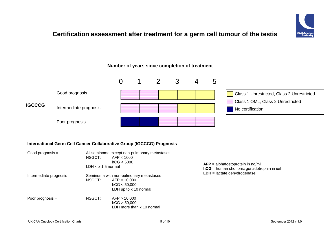

### **Certification assessment after treatment for a germ cell tumour of the testis**





#### **International Germ Cell Cancer Collaborative Group (IGCCCG) Prognosis**

| Good prognosis $=$       | NSGCT:<br>$LDH < x 1.5$ normal | All seminoma except non-pulmonary metastases<br>AFP < 1000<br>hCG < 5000                        | $AFP = alphafoetoprotein in ng/ml$<br>$hCG =$ human chorionic gonadotrophin in iu/l |
|--------------------------|--------------------------------|-------------------------------------------------------------------------------------------------|-------------------------------------------------------------------------------------|
| Intermediate prognosis = | NSGCT:                         | Seminoma with non-pulmonary metastases<br>AFP < 10,000<br>hCG < 50.000<br>LDH up to x 10 normal | $LDH =$ lactate dehydrogenase                                                       |
| Poor prognosis $=$       | NSGCT:                         | AFP > 10.000<br>hCG > 50,000<br>LDH more than x 10 normal                                       |                                                                                     |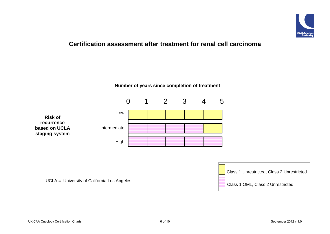

#### **Certification assessment after treatment for renal cell carcinoma**



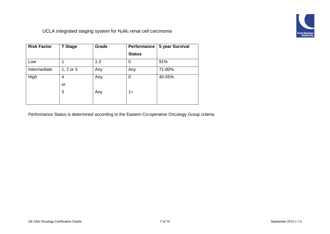

UCLA integrated staging system for  $N_0M_0$  renal cell carcinoma

| <b>Risk Factor</b> | <b>T</b> Stage | Grade   | Performance   | 5 year Survival |
|--------------------|----------------|---------|---------------|-----------------|
|                    |                |         | <b>Status</b> |                 |
| Low                |                | $1 - 2$ | 0             | 91%             |
| Intermediate       | $1, 2$ or $3$  | Any     | Any           | 71-80%          |
| High               | 4              | Any     | 0             | 40-55%          |
|                    | or             |         |               |                 |
|                    | 3              | Any     | $1+$          |                 |
|                    |                |         |               |                 |

Performance Status is determined according to the Eastern Co-operative Oncology Group criteria.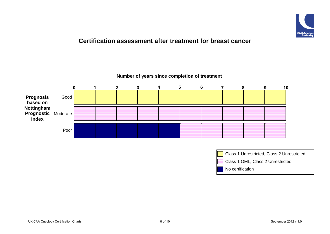

#### **Certification assessment after treatment for breast cancer**

**Number of years since completion of treatment**



| Class 1 Unrestricted, Class 2 Unrestricted |
|--------------------------------------------|
| Class 1 OML, Class 2 Unrestricted          |
| No certification                           |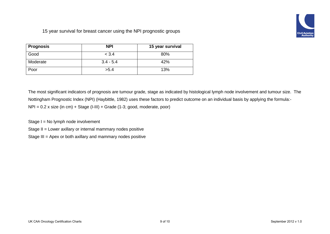

15 year survival for breast cancer using the NPI prognostic groups

| Prognosis | <b>NPI</b>  | 15 year survival |
|-----------|-------------|------------------|
| Good      | < 3.4       | 80%              |
| Moderate  | $3.4 - 5.4$ | 42%              |
| Poor      | >5.4        | 13%              |

The most significant indicators of prognosis are tumour grade, stage as indicated by histological lymph node involvement and tumour size. The Nottingham Prognostic Index (NPI) (Haybittle, 1982) uses these factors to predict outcome on an individual basis by applying the formula:-  $NPI = 0.2$  x size (in cm) + Stage (I-III) + Grade (1-3; good, moderate, poor)

Stage I = No lymph node involvement

Stage II = Lower axillary or internal mammary nodes positive

Stage III = Apex or both axillary and mammary nodes positive